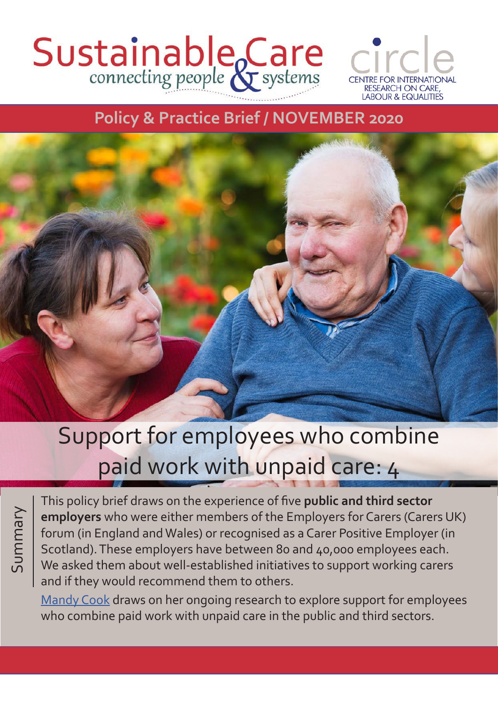# Sustainable Care



### **Policy & Practice Brief / NOVEMBER 2020**



## Support for employees who combine paid work with unpaid care: 4

Summary

This policy brief draws on the experience of five **public and third sector employers** who were either members of the Employers for Carers (Carers UK) forum (in England and Wales) or recognised as a Carer Positive Employer (in Scotland). These employers have between 80 and 40,000 employees each. We asked them about well-established initiatives to support working carers and if they would recommend them to others.

[Mandy Cook](http://circle.group.shef.ac.uk/about/dr-mandy-cook/) draws on her ongoing research to explore support for employees who combine paid work with unpaid care in the public and third sectors.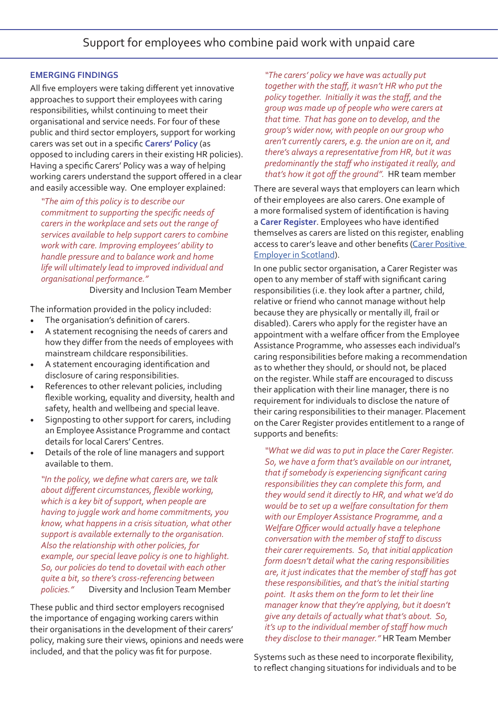#### **EMERGING FINDINGS**

All five employers were taking different yet innovative approaches to support their employees with caring responsibilities, whilst continuing to meet their organisational and service needs. For four of these public and third sector employers, support for working carers was set out in a specific **Carers' Policy** (as opposed to including carers in their existing HR policies). Having a specific Carers' Policy was a way of helping working carers understand the support offered in a clear and easily accessible way. One employer explained:

*"The aim of this policy is to describe our commitment to supporting the specific needs of carers in the workplace and sets out the range of services available to help support carers to combine work with care. Improving employees' ability to handle pressure and to balance work and home life will ultimately lead to improved individual and organisational performance."*

Diversity and Inclusion Team Member

The information provided in the policy included:

- The organisation's definition of carers.
- A statement recognising the needs of carers and how they differ from the needs of employees with mainstream childcare responsibilities.
- A statement encouraging identification and disclosure of caring responsibilities.
- References to other relevant policies, including flexible working, equality and diversity, health and safety, health and wellbeing and special leave.
- Signposting to other support for carers, including an Employee Assistance Programme and contact details for local Carers' Centres.
- Details of the role of line managers and support available to them.

*"In the policy, we define what carers are, we talk about different circumstances, flexible working, which is a key bit of support, when people are having to juggle work and home commitments, you know, what happens in a crisis situation, what other support is available externally to the organisation. Also the relationship with other policies, for example, our special leave policy is one to highlight. So, our policies do tend to dovetail with each other quite a bit, so there's cross-referencing between policies."* Diversity and Inclusion Team Member

These public and third sector employers recognised the importance of engaging working carers within their organisations in the development of their carers' policy, making sure their views, opinions and needs were included, and that the policy was fit for purpose.

*"The carers' policy we have was actually put together with the staff, it wasn't HR who put the policy together. Initially it was the staff, and the group was made up of people who were carers at that time. That has gone on to develop, and the group's wider now, with people on our group who aren't currently carers, e.g. the union are on it, and there's always a representative from HR, but it was predominantly the staff who instigated it really, and that's how it got off the ground".* HR team member

There are several ways that employers can learn which of their employees are also carers. One example of a more formalised system of identification is having a **Carer Register**. Employees who have identified themselves as carers are listed on this register, enabling access to carer's leave and other benefits [\(Carer Positive](http://www.carerpositive.org/files/2514/7687/3088/Carer_Positive_Best_Practice_Booklet_WEB.pdf)  [Employer in Scotland](http://www.carerpositive.org/files/2514/7687/3088/Carer_Positive_Best_Practice_Booklet_WEB.pdf)).

In one public sector organisation, a Carer Register was open to any member of staff with significant caring responsibilities (i.e. they look after a partner, child, relative or friend who cannot manage without help because they are physically or mentally ill, frail or disabled). Carers who apply for the register have an appointment with a welfare officer from the Employee Assistance Programme, who assesses each individual's caring responsibilities before making a recommendation as to whether they should, or should not, be placed on the register. While staff are encouraged to discuss their application with their line manager, there is no requirement for individuals to disclose the nature of their caring responsibilities to their manager. Placement on the Carer Register provides entitlement to a range of supports and benefits:

*"What we did was to put in place the Carer Register. So, we have a form that's available on our intranet, that if somebody is experiencing significant caring responsibilities they can complete this form, and they would send it directly to HR, and what we'd do would be to set up a welfare consultation for them with our Employer Assistance Programme, and a Welfare Officer would actually have a telephone conversation with the member of staff to discuss their carer requirements. So, that initial application form doesn't detail what the caring responsibilities are, it just indicates that the member of staff has got these responsibilities, and that's the initial starting point. It asks them on the form to let their line manager know that they're applying, but it doesn't give any details of actually what that's about. So, it's up to the individual member of staff how much they disclose to their manager."* HR Team Member

Systems such as these need to incorporate flexibility, to reflect changing situations for individuals and to be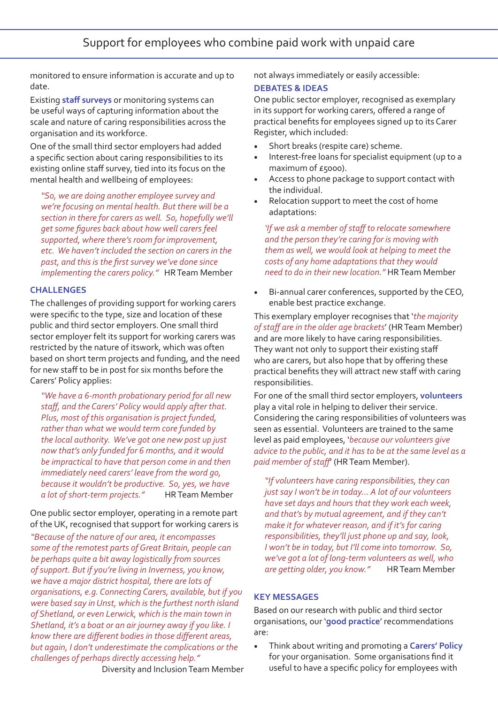monitored to ensure information is accurate and up to date.

Existing **staff surveys** or monitoring systems can be useful ways of capturing information about the scale and nature of caring responsibilities across the organisation and its workforce.

One of the small third sector employers had added a specific section about caring responsibilities to its existing online staff survey, tied into its focus on the mental health and wellbeing of employees:

*"So, we are doing another employee survey and we're focusing on mental health. But there will be a section in there for carers as well. So, hopefully we'll get some figures back about how well carers feel supported, where there's room for improvement, etc. We haven't included the section on carers in the past, and this is the first survey we've done since implementing the carers policy."* HR Team Member

#### **CHALLENGES**

The challenges of providing support for working carers were specific to the type, size and location of these public and third sector employers. One small third sector employer felt its support for working carers was restricted by the nature of itswork, which was often based on short term projects and funding, and the need for new staff to be in post for six months before the Carers' Policy applies:

*"We have a 6-month probationary period for all new staff, and the Carers' Policy would apply after that. Plus, most of this organisation is project funded, rather than what we would term core funded by the local authority. We've got one new post up just now that's only funded for 6 months, and it would be impractical to have that person come in and then immediately need carers' leave from the word go, because it wouldn't be productive. So, yes, we have a lot of short-term projects."* HR Team Member

#### One public sector employer, operating in a remote part of the UK, recognised that support for working carers is

*"Because of the nature of our area, it encompasses some of the remotest parts of Great Britain, people can be perhaps quite a bit away logistically from sources of support. But if you're living in Inverness, you know, we have a major district hospital, there are lots of organisations, e.g. Connecting Carers, available, but if you were based say in Unst, which is the furthest north island of Shetland, or even Lerwick, which is the main town in Shetland, it's a boat or an air journey away if you like. I know there are different bodies in those different areas, but again, I don't underestimate the complications or the challenges of perhaps directly accessing help."*

Diversity and Inclusion Team Member

not always immediately or easily accessible:

#### **DEBATES & IDEAS**

One public sector employer, recognised as exemplary in its support for working carers, offered a range of practical benefits for employees signed up to its Carer Register, which included:

- Short breaks (respite care) scheme.
- Interest-free loans for specialist equipment (up to a maximum of £5000).
- Access to phone package to support contact with the individual.
- Relocation support to meet the cost of home adaptations:

*'If we ask a member of staff to relocate somewhere and the person they're caring for is moving with them as well, we would look at helping to meet the costs of any home adaptations that they would need to do in their new location."* HR Team Member

• Bi-annual carer conferences, supported by the CEO, enable best practice exchange.

This exemplary employer recognises that '*the majority of staff are in the older age brackets*' (HR Team Member) and are more likely to have caring responsibilities. They want not only to support their existing staff who are carers, but also hope that by offering these practical benefits they will attract new staff with caring responsibilities.

For one of the small third sector employers, **volunteers** play a vital role in helping to deliver their service. Considering the caring responsibilities of volunteers was seen as essential. Volunteers are trained to the same level as paid employees, '*because our volunteers give advice to the public, and it has to be at the same level as a paid member of staff*' (HR Team Member).

*"If volunteers have caring responsibilities, they can just say I won't be in today… A lot of our volunteers have set days and hours that they work each week, and that's by mutual agreement, and if they can't make it for whatever reason, and if it's for caring responsibilities, they'll just phone up and say, look, I won't be in today, but I'll come into tomorrow. So, we've got a lot of long-term volunteers as well, who are getting older, you know."* HR Team Member

#### **KEY MESSAGES**

Based on our research with public and third sector organisations, our '**good practice**' recommendations are:

• Think about writing and promoting a **Carers' Policy** for your organisation. Some organisations find it useful to have a specific policy for employees with